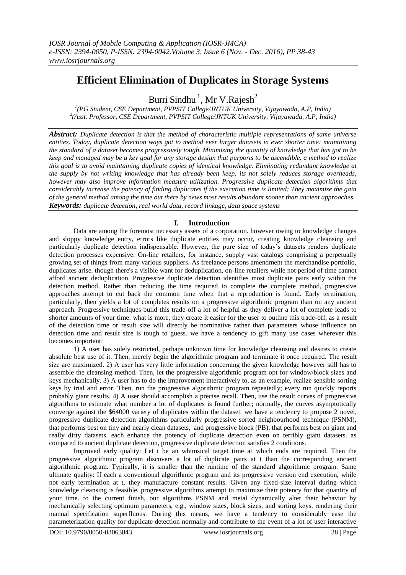# **Efficient Elimination of Duplicates in Storage Systems**

Burri Sindhu<sup>1</sup>, Mr V.Rajesh<sup>2</sup>

*1 (PG Student, CSE Department, PVPSIT College/JNTUK University, Vijayawada, A.P, India) 2 (Asst. Professor, CSE Department, PVPSIT College/JNTUK University, Vijayawada, A.P, India)*

*Abstract: Duplicate detection is that the method of characteristic multiple representations of same universe entities. Today, duplicate detection ways got to method ever larger datasets in ever shorter time: maintaining the standard of a dataset becomes progressively tough. Minimizing the quantity of knowledge that has got to be keep and managed may be a key goal for any storage design that purports to be ascendible. a method to realize this goal is to avoid maintaining duplicate copies of identical knowledge. Eliminating redundant knowledge at the supply by not writing knowledge that has already been keep, its not solely reduces storage overheads, however may also improve information measure utilization. Progressive duplicate detection algorithms that considerably increase the potency of finding duplicates if the execution time is limited: They maximize the gain of the general method among the time out there by news most results abundant sooner than ancient approaches. Keywords: duplicate detection, real world data, record linkage, data space systems*

## **I. Introduction**

Data are among the foremost necessary assets of a corporation. however owing to knowledge changes and sloppy knowledge entry, errors like duplicate entities may occur, creating knowledge cleansing and particularly duplicate detection indispensable. However, the pure size of today's datasets renders duplicate detection processes expensive. On-line retailers, for instance, supply vast catalogs comprising a perpetually growing set of things from many various suppliers. As freelance persons amendment the merchandise portfolio, duplicates arise. though there's a visible want for deduplication, on-line retailers while not period of time cannot afford ancient deduplication. Progressive duplicate detection identifies most duplicate pairs early within the detection method. Rather than reducing the time required to complete the complete method, progressive approaches attempt to cut back the common time when that a reproduction is found. Early termination, particularly, then yields a lot of completes results on a progressive algorithmic program than on any ancient approach. Progressive techniques build this trade-off a lot of helpful as they deliver a lot of complete leads to shorter amounts of your time. what is more, they create it easier for the user to outline this trade-off, as a result of the detection time or result size will directly be nominative rather than parameters whose influence on detection time and result size is tough to guess. we have a tendency to gift many use cases wherever this becomes important:

1) A user has solely restricted, perhaps unknown time for knowledge cleansing and desires to create absolute best use of it. Then, merely begin the algorithmic program and terminate it once required. The result size are maximized. 2) A user has very little information concerning the given knowledge however still has to assemble the cleansing method. Then, let the progressive algorithmic program opt for window/block sizes and keys mechanically. 3) A user has to do the improvement interactively to, as an example, realize sensible sorting keys by trial and error. Then, run the progressive algorithmic program repeatedly; every run quickly reports probably giant results. 4) A user should accomplish a precise recall. Then, use the result curves of progressive algorithms to estimate what number a lot of duplicates is found further; normally, the curves asymptotically converge against the \$64000 variety of duplicates within the dataset. we have a tendency to propose 2 novel, progressive duplicate detection algorithms particularly progressive sorted neighbourhood technique (PSNM), that performs best on tiny and nearly clean datasets, and progressive block (PB), that performs best on giant and really dirty datasets. each enhance the potency of duplicate detection even on terribly giant datasets. as compared to ancient duplicate detection, progressive duplicate detection satisfies 2 conditions.

Improved early quality: Let t be an whimsical target time at which ends are required. Then the progressive algorithmic program discovers a lot of duplicate pairs at t than the corresponding ancient algorithmic program. Typically, it is smaller than the runtime of the standard algorithmic program. Same ultimate quality: If each a conventional algorithmic program and its progressive version end execution, while not early termination at t, they manufacture constant results. Given any fixed-size interval during which knowledge cleansing is feasible, progressive algorithms attempt to maximize their potency for that quantity of your time. to the current finish, our algorithms PSNM and metal dynamically alter their behavior by mechanically selecting optimum parameters, e.g., window sizes, block sizes, and sorting keys, rendering their manual specification superfluous. During this means, we have a tendency to considerably ease the parameterization quality for duplicate detection normally and contribute to the event of a lot of user interactive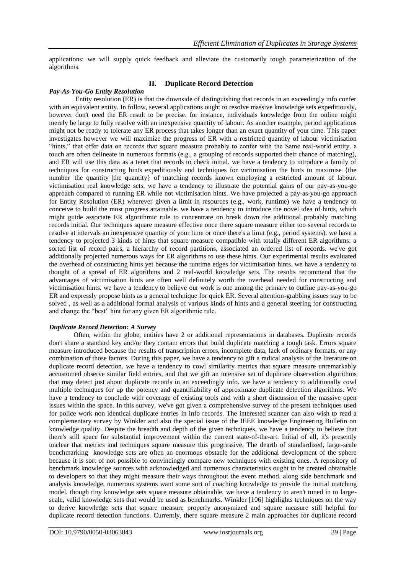applications: we will supply quick feedback and alleviate the customarily tough parameterization of the algorithms.

#### **II. Duplicate Record Detection**

#### *Pay-As-You-Go Entity Resolution*

Entity resolution (ER) is that the downside of distinguishing that records in an exceedingly info confer with an equivalent entity. In follow, several applications ought to resolve massive knowledge sets expeditiously, however don't need the ER result to be precise. for instance, individuals knowledge from the online might merely be large to fully resolve with an inexpensive quantity of labour. As another example, period applications might not be ready to tolerate any ER process that takes longer than an exact quantity of your time. This paper investigates however we will maximize the progress of ER with a restricted quantity of labour victimisation "hints," that offer data on records that square measure probably to confer with the Same real-world entity. a touch are often delineate in numerous formats (e.g., a grouping of records supported their chance of matching), and ER will use this data as a tenet that records to check initial. we have a tendency to introduce a family of techniques for constructing hints expeditiously and techniques for victimisation the hints to maximise {the number |the quantity |the quantity | of matching records known employing a restricted amount of labour. victimisation real knowledge sets, we have a tendency to illustrate the potential gains of our pay-as-you-go approach compared to running ER while not victimisation hints. We have projected a pay-as-you-go approach for Entity Resolution (ER) wherever given a limit in resources (e.g., work, runtime) we have a tendency to conceive to build the most progress attainable. we have a tendency to introduce the novel idea of hints, which might guide associate ER algorithmic rule to concentrate on break down the additional probably matching records initial. Our techniques square measure effective once there square measure either too several records to resolve at intervals an inexpensive quantity of your time or once there's a limit (e.g., period systems). we have a tendency to projected 3 kinds of hints that square measure compatible with totally different ER algorithms: a sorted list of record pairs, a hierarchy of record partitions, associated an ordered list of records. we've got additionally projected numerous ways for ER algorithms to use these hints. Our experimental results evaluated the overhead of constructing hints yet because the runtime edges for victimisation hints. we have a tendency to thought of a spread of ER algorithms and 2 real-world knowledge sets. The results recommend that the advantages of victimisation hints are often well definitely worth the overhead needed for constructing and victimisation hints. we have a tendency to believe our work is one among the primary to outline pay-as-you-go ER and expressly propose hints as a general technique for quick ER. Several attention-grabbing issues stay to be solved , as well as a additional formal analysis of various kinds of hints and a general steering for constructing and change the "best" hint for any given ER algorithmic rule.

#### *Duplicate Record Detection: A Survey*

Often, within the globe, entities have 2 or additional representations in databases. Duplicate records don't share a standard key and/or they contain errors that build duplicate matching a tough task. Errors square measure introduced because the results of transcription errors, incomplete data, lack of ordinary formats, or any combination of those factors. During this paper, we have a tendency to gift a radical analysis of the literature on duplicate record detection. we have a tendency to cowl similarity metrics that square measure unremarkably accustomed observe similar field entries, and that we gift an intensive set of duplicate observation algorithms that may detect just about duplicate records in an exceedingly info. we have a tendency to additionally cowl multiple techniques for up the potency and quantifiability of approximate duplicate detection algorithms. We have a tendency to conclude with coverage of existing tools and with a short discussion of the massive open issues within the space. In this survey, we've got given a comprehensive survey of the present techniques used for police work non identical duplicate entries in info records. The interested scanner can also wish to read a complementary survey by Winkler and also the special issue of the IEEE knowledge Engineering Bulletin on knowledge quality. Despite the breadth and depth of the given techniques, we have a tendency to believe that there's still space for substantial improvement within the current state-of-the-art. Initial of all, it's presently unclear that metrics and techniques square measure this progressive. The dearth of standardized, large-scale benchmarking knowledge sets are often an enormous obstacle for the additional development of the sphere because it is sort of not possible to convincingly compare new techniques with existing ones. A repository of benchmark knowledge sources with acknowledged and numerous characteristics ought to be created obtainable to developers so that they might measure their ways throughout the event method. along side benchmark and analysis knowledge, numerous systems want some sort of coaching knowledge to provide the initial matching model. though tiny knowledge sets square measure obtainable, we have a tendency to aren't tuned in to largescale, valid knowledge sets that would be used as benchmarks. Winkler [106] highlights techniques on the way to derive knowledge sets that square measure properly anonymized and square measure still helpful for duplicate record detection functions. Currently, there square measure 2 main approaches for duplicate record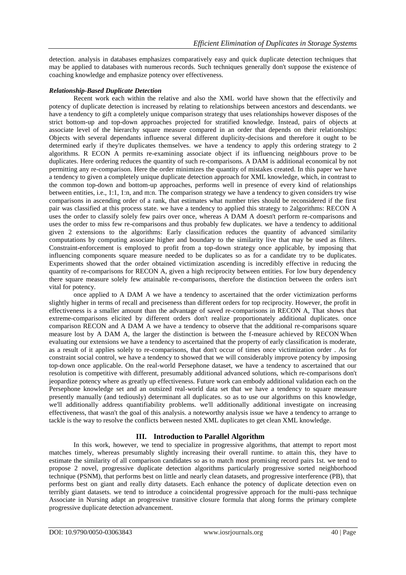detection. analysis in databases emphasizes comparatively easy and quick duplicate detection techniques that may be applied to databases with numerous records. Such techniques generally don't suppose the existence of coaching knowledge and emphasize potency over effectiveness.

#### *Relationship-Based Duplicate Detection*

Recent work each within the relative and also the XML world have shown that the effectivily and potency of duplicate detection is increased by relating to relationships between ancestors and descendants. we have a tendency to gift a completely unique comparison strategy that uses relationships however disposes of the strict bottom-up and top-down approaches projected for stratified knowledge. Instead, pairs of objects at associate level of the hierarchy square measure compared in an order that depends on their relationships: Objects with several dependants influence several different duplicity-decisions and therefore it ought to be determined early if they're duplicates themselves. we have a tendency to apply this ordering strategy to 2 algorithms. R ECON A permits re-examining associate object if its influencing neighbours prove to be duplicates. Here ordering reduces the quantity of such re-comparisons. A DAM is additional economical by not permitting any re-comparison. Here the order minimizes the quantity of mistakes created. In this paper we have a tendency to given a completely unique duplicate detection approach for XML knowledge, which, in contrast to the common top-down and bottom-up approaches, performs well in presence of every kind of relationships between entities, i.e., 1:1, 1:n, and m:n. The comparison strategy we have a tendency to given considers try wise comparisons in ascending order of a rank, that estimates what number tries should be reconsidered if the first pair was classified at this process state. we have a tendency to applied this strategy to 2algorithms: RECON A uses the order to classify solely few pairs over once, whereas A DAM A doesn't perform re-comparisons and uses the order to miss few re-comparisons and thus probably few duplicates. we have a tendency to additional given 2 extensions to the algorithms: Early classification reduces the quantity of advanced similarity computations by computing associate higher and boundary to the similarity live that may be used as filters. Constraint-enforcement is employed to profit from a top-down strategy once applicable, by imposing that influencing components square measure needed to be duplicates so as for a candidate try to be duplicates. Experiments showed that the order obtained victimization ascending is incredibly effective in reducing the quantity of re-comparisons for RECON A, given a high reciprocity between entities. For low bury dependency there square measure solely few attainable re-comparisons, therefore the distinction between the orders isn't vital for potency.

once applied to A DAM A we have a tendency to ascertained that the order victimization performs slightly higher in terms of recall and preciseness than different orders for top reciprocity. However, the profit in effectiveness is a smaller amount than the advantage of saved re-comparisons in RECON A, That shows that extreme-comparisons elicited by different orders don't realize proportionately additional duplicates. once comparison RECON and A DAM A we have a tendency to observe that the additional re-comparisons square measure lost by A DAM A, the larger the distinction is between the f-measure achieved by RECON ̇When evaluating our extensions we have a tendency to ascertained that the property of early classification is moderate, as a result of it applies solely to re-comparisons, that don't occur of times once victimization order . As for constraint social control, we have a tendency to showed that we will considerably improve potency by imposing top-down once applicable. On the real-world Persephone dataset, we have a tendency to ascertained that our resolution is competitive with different, presumably additional advanced solutions, which re-comparisons don't jeopardize potency where as greatly up effectiveness. Future work can embody additional validation each on the Persephone knowledge set and an outsized real-world data set that we have a tendency to square measure presently manually (and tediously) determinant all duplicates. so as to use our algorithms on this knowledge, we'll additionally address quantifiability problems. we'll additionally additional investigate on increasing effectiveness, that wasn't the goal of this analysis. a noteworthy analysis issue we have a tendency to arrange to tackle is the way to resolve the conflicts between nested XML duplicates to get clean XML knowledge.

## **III. Introduction to Parallel Algorithm**

In this work, however, we tend to specialize in progressive algorithms, that attempt to report most matches timely, whereas presumably slightly increasing their overall runtime. to attain this, they have to estimate the similarity of all comparison candidates so as to match most promising record pairs 1st. we tend to propose 2 novel, progressive duplicate detection algorithms particularly progressive sorted neighborhood technique (PSNM), that performs best on little and nearly clean datasets, and progressive interference (PB), that performs best on giant and really dirty datasets. Each enhance the potency of duplicate detection even on terribly giant datasets. we tend to introduce a coincidental progressive approach for the multi-pass technique Associate in Nursing adapt an progressive transitive closure formula that along forms the primary complete progressive duplicate detection advancement.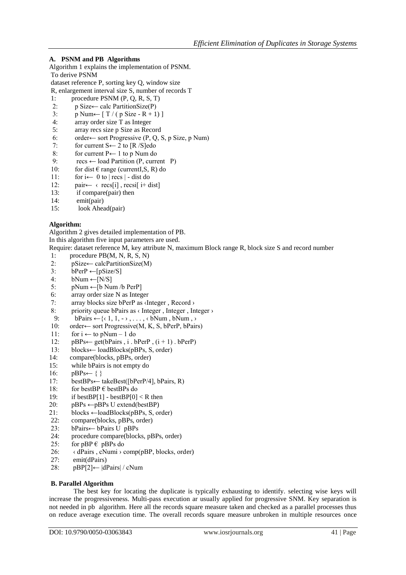# **A. PSNM and PB Algorithms**

- Algorithm 1 explains the implementation of PSNM.
- To derive PSNM
- dataset reference P, sorting key Q, window size
- R, enlargement interval size S, number of records T
- 1: procedure PSNM (P, Q, R, S, T) 2: p Size ← calc PartitionSize $(P)$
- 3:  $p$  Num $\leftarrow$  [ T / (  $p$  Size R + 1) ]
- 4: array order size T as Integer
- 5: array recs size p Size as Record
- 6: order← sort Progressive (P, Q, S, p Size, p Num)<br>7: for current S← 2 to [R /S]edo
- 
- 7: for current  $S \leftarrow 2$  to  $[R / S]$ edo<br>8: for current  $P \leftarrow 1$  to p Num do
- 8: for current P← 1 to p Num do<br>9:  $res \leftarrow$  load Partition (P, current  $res \leftarrow$  load Partition (P, current P)
- 10: for dist  $\in$  range (currentI,S, R) do 11: for i $\leftarrow$  0 to | recs | dist do
- for  $i \leftarrow 0$  to | recs | dist do
- 12: pair← ‹ recs[i] , recsi[ i+ dist]
- 13: if compare(pair) then
- 14: emit(pair)
- 15: look Ahead(pair)

## **Algorithm:**

Algorithm 2 gives detailed implementation of PB.

In this algorithm five input parameters are used.

Require: dataset reference M, key attribute N, maximum Block range R, block size S and record number

- 1: procedure PB(M, N, R, S, N)
- 2:  $pSize \leftarrow calcPartitionSize(M)$ <br>3:  $bPerP \leftarrow [pSize/S]$
- $bPerP \leftarrow [pSize/S]$
- 4:  $bNum \leftarrow [N/S]$
- 5: pNum ← [b Num /b PerP]<br>6: array order size N as Integ
- array order size N as Integer
- 7: array blocks size bPerP as ‹Integer , Record ›
- 8: priority queue bPairs as  $\langle$  Integer , Integer  $\rangle$ <br>9: bPairs  $\leftarrow$   $\{\langle 1, 1, \cdot \rangle, \ldots, \langle 6Num, bNum, \rangle\}$
- $bPairs \leftarrow \{c_1, 1, \dots, c_bNum, bNum, \}$
- 10: order← sort Progressive(M, K, S, bPerP, bPairs)
- 11: for  $i \leftarrow$  to pNum 1 do<br>12: pBPs← get(bPairs, i, b
- $pBPs \leftarrow get(bPairs, i.bPerP, (i + 1) . bPerP)$
- 13: blocks← loadBlocks(pBPs, S, order)
- 14: compare(blocks, pBPs, order)
- 15: while bPairs is not empty do
- 16:  $pBPs \leftarrow \{\}$
- 17: bestBPs← takeBest([bPerP/4], bPairs, R)
- 18: for bestBP  $\in$  bestBPs do
- 19: if bestBP[1] bestBP[0]  $\lt R$  then
- 20: pBPs  $\leftarrow$ pBPs U extend(bestBP)
- 21: blocks  $\leftarrow$ loadBlocks(pBPs, S, order)
- 22: compare(blocks, pBPs, order)
- 23: bPairs← bPairs U pBPs
- 24: procedure compare(blocks, pBPs, order)<br>25: for pBP  $\epsilon$  pBPs do
- for  $pBP \in pBPs$  do
- 26: ‹ dPairs , cNumi › comp(pBP, blocks, order)
- 27: emit(dPairs)
- 28: pBP[2]← |dPairs| / cNum

## **B. Parallel Algorithm**

The best key for locating the duplicate is typically exhausting to identify. selecting wise keys will increase the progressiveness. Multi-pass execution ar usually applied for progressive SNM. Key separation is not needed in pb algorithm. Here all the records square measure taken and checked as a parallel processes thus on reduce average execution time. The overall records square measure unbroken in multiple resources once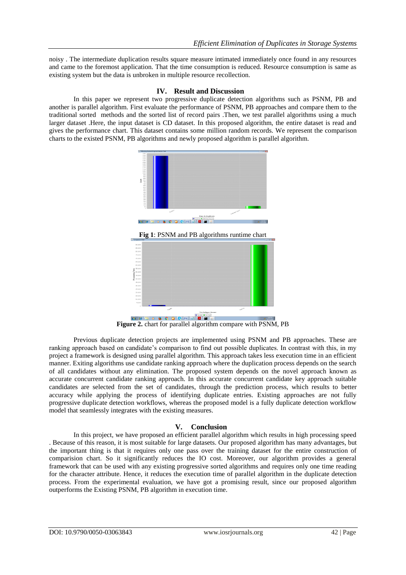noisy . The intermediate duplication results square measure intimated immediately once found in any resources and came to the foremost application. That the time consumption is reduced. Resource consumption is same as existing system but the data is unbroken in multiple resource recollection.

#### **IV. Result and Discussion**

In this paper we represent two progressive duplicate detection algorithms such as PSNM, PB and another is parallel algorithm. First evaluate the performance of PSNM, PB approaches and compare them to the traditional sorted methods and the sorted list of record pairs .Then, we test parallel algorithms using a much larger dataset .Here, the input dataset is CD dataset. In this proposed algorithm, the entire dataset is read and gives the performance chart. This dataset contains some million random records. We represent the comparison charts to the existed PSNM, PB algorithms and newly proposed algorithm is parallel algorithm.



**Fig 1**: PSNM and PB algorithms runtime chart



**Figure 2.** chart for parallel algorithm compare with PSNM, PB

Previous duplicate detection projects are implemented using PSNM and PB approaches. These are ranking approach based on candidate's comparison to find out possible duplicates. In contrast with this, in my project a framework is designed using parallel algorithm. This approach takes less execution time in an efficient manner. Exiting algorithms use candidate ranking approach where the duplication process depends on the search of all candidates without any elimination. The proposed system depends on the novel approach known as accurate concurrent candidate ranking approach. In this accurate concurrent candidate key approach suitable candidates are selected from the set of candidates, through the prediction process, which results to better accuracy while applying the process of identifying duplicate entries. Existing approaches are not fully progressive duplicate detection workflows, whereas the proposed model is a fully duplicate detection workflow model that seamlessly integrates with the existing measures.

## **V. Conclusion**

In this project, we have proposed an efficient parallel algorithm which results in high processing speed . Because of this reason, it is most suitable for large datasets. Our proposed algorithm has many advantages, but the important thing is that it requires only one pass over the training dataset for the entire construction of comparision chart. So it significantly reduces the IO cost. Moreover, our algorithm provides a general framework that can be used with any existing progressive sorted algorithms and requires only one time reading for the character attribute. Hence, it reduces the execution time of parallel algorithm in the duplicate detection process. From the experimental evaluation, we have got a promising result, since our proposed algorithm outperforms the Existing PSNM, PB algorithm in execution time.